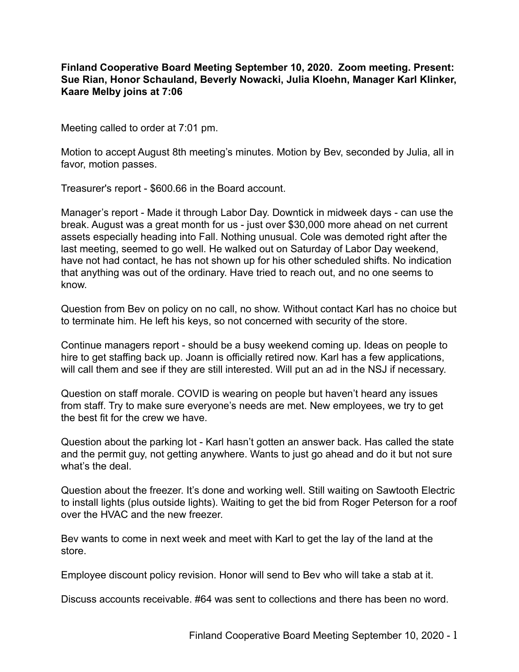## **Finland Cooperative Board Meeting September 10, 2020. Zoom meeting. Present: Sue Rian, Honor Schauland, Beverly Nowacki, Julia Kloehn, Manager Karl Klinker, Kaare Melby joins at 7:06**

Meeting called to order at 7:01 pm.

Motion to accept August 8th meeting's minutes. Motion by Bev, seconded by Julia, all in favor, motion passes.

Treasurer's report - \$600.66 in the Board account.

Manager's report - Made it through Labor Day. Downtick in midweek days - can use the break. August was a great month for us - just over \$30,000 more ahead on net current assets especially heading into Fall. Nothing unusual. Cole was demoted right after the last meeting, seemed to go well. He walked out on Saturday of Labor Day weekend, have not had contact, he has not shown up for his other scheduled shifts. No indication that anything was out of the ordinary. Have tried to reach out, and no one seems to know.

Question from Bev on policy on no call, no show. Without contact Karl has no choice but to terminate him. He left his keys, so not concerned with security of the store.

Continue managers report - should be a busy weekend coming up. Ideas on people to hire to get staffing back up. Joann is officially retired now. Karl has a few applications, will call them and see if they are still interested. Will put an ad in the NSJ if necessary.

Question on staff morale. COVID is wearing on people but haven't heard any issues from staff. Try to make sure everyone's needs are met. New employees, we try to get the best fit for the crew we have.

Question about the parking lot - Karl hasn't gotten an answer back. Has called the state and the permit guy, not getting anywhere. Wants to just go ahead and do it but not sure what's the deal

Question about the freezer. It's done and working well. Still waiting on Sawtooth Electric to install lights (plus outside lights). Waiting to get the bid from Roger Peterson for a roof over the HVAC and the new freezer.

Bev wants to come in next week and meet with Karl to get the lay of the land at the store.

Employee discount policy revision. Honor will send to Bev who will take a stab at it.

Discuss accounts receivable. #64 was sent to collections and there has been no word.